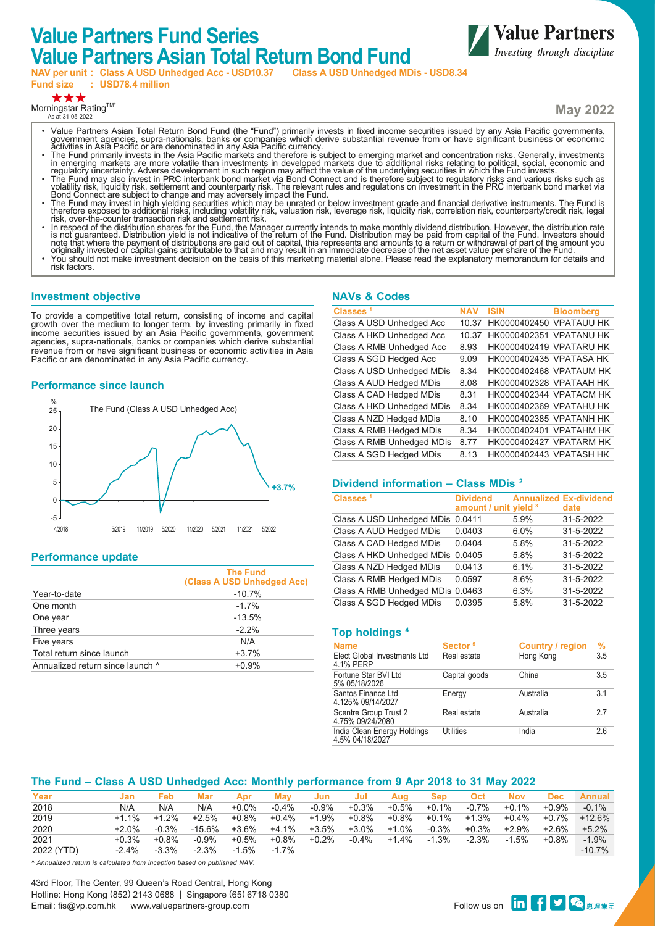# **Value Partners Fund Series Value Partners Asian Total Return Bond Fund**



**Fund size : USD78.4 million**

★★★

Morningstar Rating™ As at 31-05-2022

**May 2022**

**Value Partners** *Investing through discipline* 

- Value Partners Asian Total Return Bond Fund (the "Fund") primarily invests in fixed income securities issued by any Asia Pacific governments,<br>government agencies, supra-nationals, banks or companies which derive substant
- ăctivities in Asia Pacific or are denominated in any Asia Pacific currency.<br>The Fund primarily invests in the Asia Pacific markets and therefore is subject to emerging market and concentration risks. Generally, investments
- regulatory uncertainty. Adverse development in such region may affect the value of the underlying securities in which the Fund invests.<br>The Fund may also invest in PRC interbank bond market via Bond Connect and is therefor
- volatility risk, liquidity risk, settlement and counterparty risk. The relevant rules and regulations on investment in the PRC interbank bond market via<br>• The Fund may invest in change and may adversely impact the Fund.<br>•
- risk, over-the-counter transaction risk and settlement risk.<br>• In respect of the distribution shares for the Fund, the Manager currently intends to make monthly dividend distribution. However, the distribution rate<br>is not
- 
- risk factors.

## **Investment objective**

To provide a competitive total return, consisting of income and capital growth over the medium to longer term, by investing primarily in fixed income securities issued by an Asia Pacific governments, government agencies, supra-nationals, banks or companies which derive substantial revenue from or have significant business or economic activities in Asia Pacific or are denominated in any Asia Pacific currency.

#### **Performance since launch**



# **Performance update**

|                                  | <b>The Fund</b><br>(Class A USD Unhedged Acc) |
|----------------------------------|-----------------------------------------------|
| Year-to-date                     | $-10.7%$                                      |
| One month                        | $-17%$                                        |
| One year                         | $-13.5%$                                      |
| Three years                      | $-2.2%$                                       |
| Five years                       | N/A                                           |
| Total return since launch        | $+3.7%$                                       |
| Annualized return since launch ^ | $+0.9%$                                       |
|                                  |                                               |

# **NAVs & Codes**

| <b>NAV</b> | <b>ISIN</b>                    | <b>Bloomberg</b> |
|------------|--------------------------------|------------------|
| 10.37      | HK0000402450 VPATAUU HK        |                  |
| 10 37      | <b>HK0000402351 VPATANU HK</b> |                  |
| 8.93       | <b>HK0000402419 VPATARU HK</b> |                  |
| 9.09       | HK0000402435 VPATASA HK        |                  |
| 8.34       | HK0000402468 VPATAUM HK        |                  |
| 8.08       | HK0000402328 VPATAAH HK        |                  |
| 8.31       | HK0000402344 VPATACM HK        |                  |
| 8 34       | HK0000402369 VPATAHU HK        |                  |
| 8.10       | HK0000402385 VPATANH HK        |                  |
| 8.34       | <b>HK0000402401 VPATAHM HK</b> |                  |
| 877        | HK0000402427 VPATARM HK        |                  |
| 8 1 3      | HK0000402443 VPATASH HK        |                  |
|            |                                |                  |

#### **Dividend information – Class MDis 2**

| Classes <sup>1</sup>             | <b>Dividend</b><br>amount / unit yield 3 |      | <b>Annualized Ex-dividend</b><br>date |
|----------------------------------|------------------------------------------|------|---------------------------------------|
| Class A USD Unhedged MDis        | 0.0411                                   | 5.9% | 31-5-2022                             |
| Class A AUD Hedged MDis          | 0.0403                                   | 6.0% | 31-5-2022                             |
| Class A CAD Hedged MDis          | 0.0404                                   | 5.8% | 31-5-2022                             |
| Class A HKD Unhedged MDis        | 0.0405                                   | 5.8% | 31-5-2022                             |
| Class A NZD Hedged MDis          | 0.0413                                   | 6.1% | 31-5-2022                             |
| Class A RMB Hedged MDis          | 0.0597                                   | 8.6% | 31-5-2022                             |
| Class A RMB Unhedged MDis 0.0463 |                                          | 6.3% | 31-5-2022                             |
| Class A SGD Hedged MDis          | 0.0395                                   | 5.8% | 31-5-2022                             |

#### **Top holdings 4**

| <b>Name</b>                                    | Sector <sup>5</sup> | <b>Country / region</b> | $\frac{9}{6}$  |
|------------------------------------------------|---------------------|-------------------------|----------------|
| Elect Global Investments Ltd<br>4.1% PERP      | Real estate         | Hong Kong               | 3.5            |
| Fortune Star BVI Ltd<br>5% 05/18/2026          | Capital goods       | China                   | 3.5            |
| Santos Finance Ltd<br>4.125% 09/14/2027        | Energy              | Australia               | 3 <sub>1</sub> |
| Scentre Group Trust 2<br>4.75% 09/24/2080      | Real estate         | Australia               | 27             |
| India Clean Energy Holdings<br>4.5% 04/18/2027 | Utilities           | India                   | 2.6            |

# **The Fund – Class A USD Unhedged Acc: Monthly performance from 9 Apr 2018 to 31 May 2022**

| Year       | Jan      | Feb      | Mar       | Apr      | Mav      | Jun     | Jul      | Aua      | Sep      | <b>Oct</b> | <b>Nov</b> | Dec      | <b>Annual</b> |
|------------|----------|----------|-----------|----------|----------|---------|----------|----------|----------|------------|------------|----------|---------------|
| 2018       | N/A      | N/A      | N/A       | $+0.0\%$ | $-0.4%$  | $-0.9%$ | $+0.3%$  | $+0.5%$  | +0.1%    | $-0.7\%$   | $+0.1%$    | $+0.9%$  | $-0.1\%$      |
| 2019       | $+1.1\%$ | $+1.2%$  | $+2.5%$   | $+0.8\%$ | $+0.4\%$ | $+1.9%$ | $+0.8\%$ | $+0.8\%$ | $+0.1\%$ | $+1.3%$    | $+0.4\%$   | $+0.7\%$ | $+12.6%$      |
| 2020       | $+2.0\%$ | $-0.3%$  | $-15.6\%$ | $+3.6\%$ | $+4.1\%$ | $+3.5%$ | $+3.0\%$ | $+1.0%$  | $-0.3%$  | $+0.3%$    | $+2.9%$    | $+2.6%$  | $+5.2%$       |
| 2021       | $+0.3%$  | $+0.8\%$ | $-0.9%$   | $+0.5\%$ | $+0.8\%$ | $+0.2%$ | $-0.4%$  | $+1.4%$  | $-1.3%$  | $-2.3%$    | $-1.5\%$   | $+0.8%$  | $-1.9\%$      |
| 2022 (YTD) | $-2.4%$  | $-3.3%$  | $-2.3%$   | $-1.5%$  | $-17%$   |         |          |          |          |            |            |          | $-10.7\%$     |

*^ Annualized return is calculated from inception based on published NAV.*

43rd Floor, The Center, 99 Queen's Road Central, Hong Kong Hotline: Hong Kong (852) 2143 0688 | Singapore (65) 6718 0380 الماليات المستحدة المستحدة المستحدة المستحدة المستحدة المستحدة المستحدة المستحدة المستحدة المستحدة المستحدة ال<br>Follow us on **tin of the e**nail: fis@vp.com.hk www.valuepartners-group.com